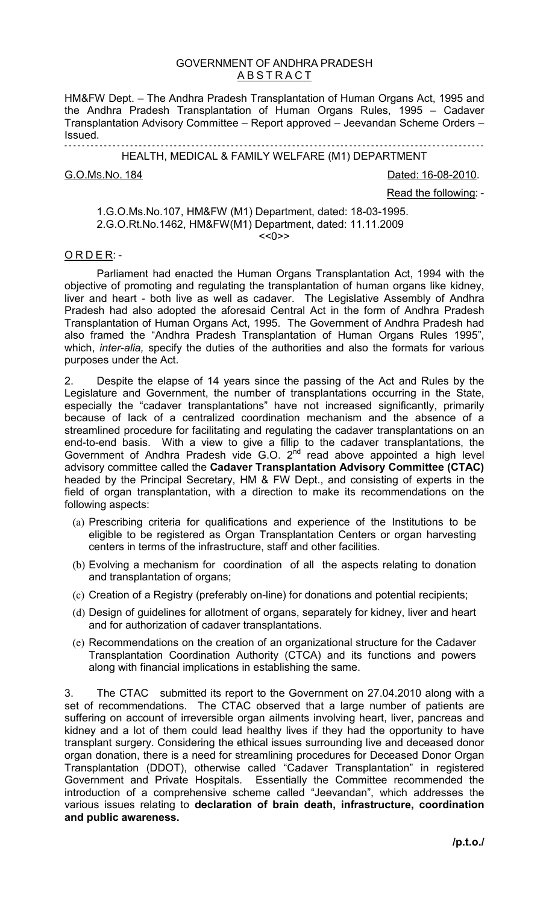#### GOVERNMENT OF ANDHRA PRADESH A B S T R A C T

HM&FW Dept. – The Andhra Pradesh Transplantation of Human Organs Act, 1995 and the Andhra Pradesh Transplantation of Human Organs Rules, 1995 – Cadaver Transplantation Advisory Committee – Report approved – Jeevandan Scheme Orders – Issued.

- - - - - - - - - - - - - - - - - - - - - - - - - - - - - - - - - - - - - - - - - - - - - - - - - - - - - - - - - - - - - - - - - - - - - - - - - - - - - - - - - - - - - - - - - - - - - - - - HEALTH, MEDICAL & FAMILY WELFARE (M1) DEPARTMENT

G.O.Ms.No. 184 Dated: 16-08-2010.

Read the following: -

1.G.O.Ms.No.107, HM&FW (M1) Department, dated: 18-03-1995. 2.G.O.Rt.No.1462, HM&FW(M1) Department, dated: 11.11.2009  $<<0>>$ 

#### $ORDER: -$

 Parliament had enacted the Human Organs Transplantation Act, 1994 with the objective of promoting and regulating the transplantation of human organs like kidney, liver and heart - both live as well as cadaver. The Legislative Assembly of Andhra Pradesh had also adopted the aforesaid Central Act in the form of Andhra Pradesh Transplantation of Human Organs Act, 1995. The Government of Andhra Pradesh had also framed the "Andhra Pradesh Transplantation of Human Organs Rules 1995", which, *inter-alia,* specify the duties of the authorities and also the formats for various purposes under the Act.

2. Despite the elapse of 14 years since the passing of the Act and Rules by the Legislature and Government, the number of transplantations occurring in the State, especially the "cadaver transplantations" have not increased significantly, primarily because of lack of a centralized coordination mechanism and the absence of a streamlined procedure for facilitating and regulating the cadaver transplantations on an end-to-end basis. With a view to give a fillip to the cadaver transplantations, the Government of Andhra Pradesh vide G.O.  $2^{nd}$  read above appointed a high level advisory committee called the **Cadaver Transplantation Advisory Committee (CTAC)** headed by the Principal Secretary, HM & FW Dept., and consisting of experts in the field of organ transplantation, with a direction to make its recommendations on the following aspects:

- (a) Prescribing criteria for qualifications and experience of the Institutions to be eligible to be registered as Organ Transplantation Centers or organ harvesting centers in terms of the infrastructure, staff and other facilities.
- (b) Evolving a mechanism for coordination of all the aspects relating to donation and transplantation of organs;
- (c) Creation of a Registry (preferably on-line) for donations and potential recipients;
- (d) Design of guidelines for allotment of organs, separately for kidney, liver and heart and for authorization of cadaver transplantations.
- (e) Recommendations on the creation of an organizational structure for the Cadaver Transplantation Coordination Authority (CTCA) and its functions and powers along with financial implications in establishing the same.

3. The CTAC submitted its report to the Government on 27.04.2010 along with a set of recommendations. The CTAC observed that a large number of patients are suffering on account of irreversible organ ailments involving heart, liver, pancreas and kidney and a lot of them could lead healthy lives if they had the opportunity to have transplant surgery. Considering the ethical issues surrounding live and deceased donor organ donation, there is a need for streamlining procedures for Deceased Donor Organ Transplantation (DDOT), otherwise called "Cadaver Transplantation" in registered Government and Private Hospitals. Essentially the Committee recommended the introduction of a comprehensive scheme called "Jeevandan", which addresses the various issues relating to **declaration of brain death, infrastructure, coordination and public awareness.**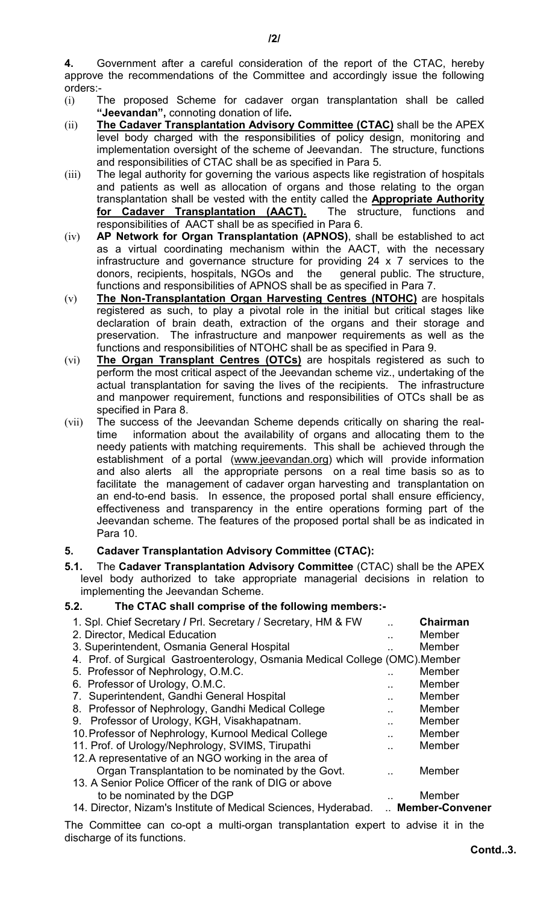**4.** Government after a careful consideration of the report of the CTAC, hereby approve the recommendations of the Committee and accordingly issue the following orders:-

- (i) The proposed Scheme for cadaver organ transplantation shall be called **"Jeevandan",** connoting donation of life**.**
- (ii) **The Cadaver Transplantation Advisory Committee (CTAC)** shall be the APEX level body charged with the responsibilities of policy design, monitoring and implementation oversight of the scheme of Jeevandan. The structure, functions and responsibilities of CTAC shall be as specified in Para 5.
- (iii) The legal authority for governing the various aspects like registration of hospitals and patients as well as allocation of organs and those relating to the organ transplantation shall be vested with the entity called the **Appropriate Authority for Cadaver Transplantation (AACT).** The structure, functions and responsibilities of AACT shall be as specified in Para 6.
- (iv) **AP Network for Organ Transplantation (APNOS)**, shall be established to act as a virtual coordinating mechanism within the AACT, with the necessary infrastructure and governance structure for providing 24 x 7 services to the donors, recipients, hospitals, NGOs and the general public. The structure, functions and responsibilities of APNOS shall be as specified in Para 7.
- (v) **The Non-Transplantation Organ Harvesting Centres (NTOHC)** are hospitals registered as such, to play a pivotal role in the initial but critical stages like declaration of brain death, extraction of the organs and their storage and preservation. The infrastructure and manpower requirements as well as the functions and responsibilities of NTOHC shall be as specified in Para 9.
- (vi) **The Organ Transplant Centres (OTCs)** are hospitals registered as such to perform the most critical aspect of the Jeevandan scheme viz., undertaking of the actual transplantation for saving the lives of the recipients. The infrastructure and manpower requirement, functions and responsibilities of OTCs shall be as specified in Para 8.
- (vii) The success of the Jeevandan Scheme depends critically on sharing the realtime information about the availability of organs and allocating them to the needy patients with matching requirements. This shall be achieved through the establishment of a portal (www.jeevandan.org) which will provide information and also alerts all the appropriate persons on a real time basis so as to facilitate the management of cadaver organ harvesting and transplantation on an end-to-end basis. In essence, the proposed portal shall ensure efficiency, effectiveness and transparency in the entire operations forming part of the Jeevandan scheme. The features of the proposed portal shall be as indicated in Para 10.

## **5. Cadaver Transplantation Advisory Committee (CTAC):**

**5.1.** The **Cadaver Transplantation Advisory Committee** (CTAC) shall be the APEX level body authorized to take appropriate managerial decisions in relation to implementing the Jeevandan Scheme.

## **5.2. The CTAC shall comprise of the following members:-**

| 1. Spl. Chief Secretary / Prl. Secretary / Secretary, HM & FW<br>2. Director, Medical Education<br>3. Superintendent, Osmania General Hospital<br>4. Prof. of Surgical Gastroenterology, Osmania Medical College (OMC).Member<br>5. Professor of Nephrology, O.M.C.<br>6. Professor of Urology, O.M.C.<br>7. Superintendent, Gandhi General Hospital<br>8. Professor of Nephrology, Gandhi Medical College<br>9. Professor of Urology, KGH, Visakhapatnam.<br>10. Professor of Nephrology, Kurnool Medical College<br>11. Prof. of Urology/Nephrology, SVIMS, Tirupathi<br>12. A representative of an NGO working in the area of<br>Organ Transplantation to be nominated by the Govt.<br>13. A Senior Police Officer of the rank of DIG or above | $\ddot{\phantom{1}}$<br>$\ddot{\phantom{a}}$ | Chairman<br>Member<br>Member<br>Member<br>Member<br>Member<br>Member<br>Member<br>Member<br>Member<br>Member |
|---------------------------------------------------------------------------------------------------------------------------------------------------------------------------------------------------------------------------------------------------------------------------------------------------------------------------------------------------------------------------------------------------------------------------------------------------------------------------------------------------------------------------------------------------------------------------------------------------------------------------------------------------------------------------------------------------------------------------------------------------|----------------------------------------------|--------------------------------------------------------------------------------------------------------------|
| to be nominated by the DGP<br>14. Director, Nizam's Institute of Medical Sciences, Hyderabad.                                                                                                                                                                                                                                                                                                                                                                                                                                                                                                                                                                                                                                                     |                                              | Member<br><b>Member-Convener</b>                                                                             |

The Committee can co-opt a multi-organ transplantation expert to advise it in the discharge of its functions.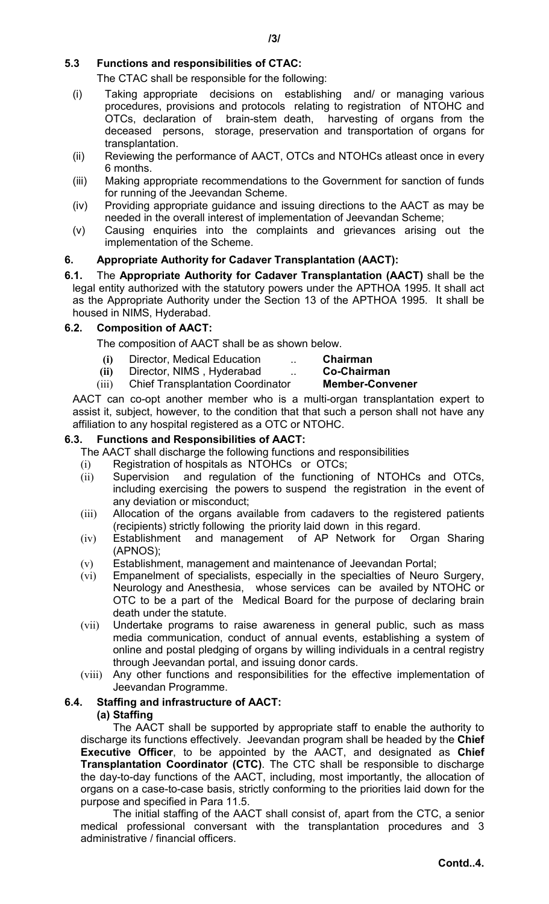# **5.3 Functions and responsibilities of CTAC:**

The CTAC shall be responsible for the following:

- (i) Taking appropriate decisions on establishing and/ or managing various procedures, provisions and protocols relating to registration of NTOHC and OTCs, declaration of brain-stem death, harvesting of organs from the deceased persons, storage, preservation and transportation of organs for transplantation.
- (ii) Reviewing the performance of AACT, OTCs and NTOHCs atleast once in every 6 months.
- (iii) Making appropriate recommendations to the Government for sanction of funds for running of the Jeevandan Scheme.
- (iv) Providing appropriate guidance and issuing directions to the AACT as may be needed in the overall interest of implementation of Jeevandan Scheme;
- (v) Causing enquiries into the complaints and grievances arising out the implementation of the Scheme.

## **6. Appropriate Authority for Cadaver Transplantation (AACT):**

**6.1.** The **Appropriate Authority for Cadaver Transplantation (AACT)** shall be the legal entity authorized with the statutory powers under the APTHOA 1995. It shall act as the Appropriate Authority under the Section 13 of the APTHOA 1995. It shall be housed in NIMS, Hyderabad.

#### **6.2. Composition of AACT:**

The composition of AACT shall be as shown below.

- **(i)** Director, Medical Education .. **Chairman**
- **(ii)** Director, NIMS , Hyderabad .. **Co-Chairman**
- (iii) Chief Transplantation Coordinator **Member-Convener**

AACT can co-opt another member who is a multi-organ transplantation expert to assist it, subject, however, to the condition that that such a person shall not have any affiliation to any hospital registered as a OTC or NTOHC.

#### **6.3. Functions and Responsibilities of AACT:**

The AACT shall discharge the following functions and responsibilities

- (i) Registration of hospitals as NTOHCs or OTCs;
- (ii) Supervision and regulation of the functioning of NTOHCs and OTCs, including exercising the powers to suspend the registration in the event of any deviation or misconduct;
- (iii) Allocation of the organs available from cadavers to the registered patients (recipients) strictly following the priority laid down in this regard.
- (iv) Establishment and management of AP Network for Organ Sharing (APNOS);
- (v) Establishment, management and maintenance of Jeevandan Portal;
- (vi) Empanelment of specialists, especially in the specialties of Neuro Surgery, Neurology and Anesthesia, whose services can be availed by NTOHC or OTC to be a part of the Medical Board for the purpose of declaring brain death under the statute.
- (vii) Undertake programs to raise awareness in general public, such as mass media communication, conduct of annual events, establishing a system of online and postal pledging of organs by willing individuals in a central registry through Jeevandan portal, and issuing donor cards.
- (viii) Any other functions and responsibilities for the effective implementation of Jeevandan Programme.

## **6.4. Staffing and infrastructure of AACT:**

## **(a) Staffing**

The AACT shall be supported by appropriate staff to enable the authority to discharge its functions effectively. Jeevandan program shall be headed by the **Chief Executive Officer**, to be appointed by the AACT, and designated as **Chief Transplantation Coordinator (CTC)**. The CTC shall be responsible to discharge the day-to-day functions of the AACT, including, most importantly, the allocation of organs on a case-to-case basis, strictly conforming to the priorities laid down for the purpose and specified in Para 11.5.

The initial staffing of the AACT shall consist of, apart from the CTC, a senior medical professional conversant with the transplantation procedures and 3 administrative / financial officers.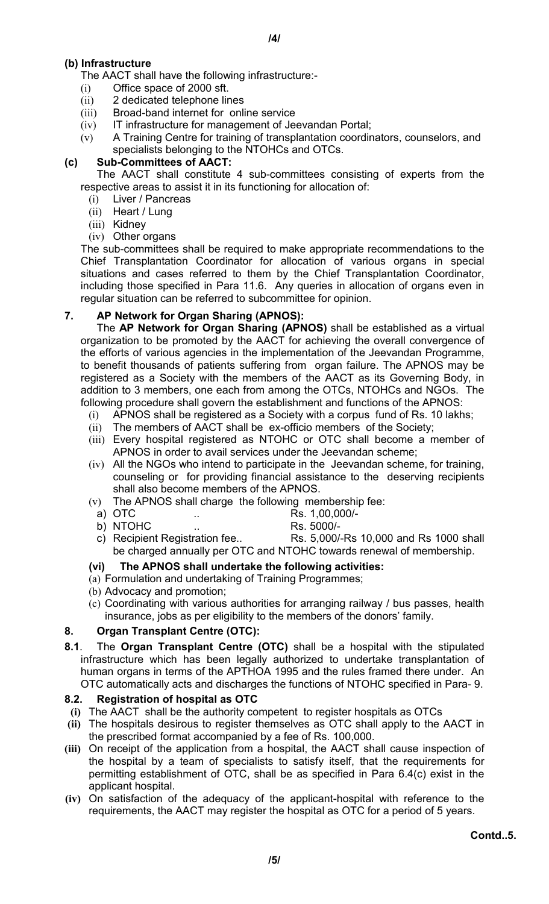# **(b) Infrastructure**

The AACT shall have the following infrastructure:-

- (i) Office space of 2000 sft.
- (ii) 2 dedicated telephone lines
- (iii) Broad-band internet for online service
- (iv) IT infrastructure for management of Jeevandan Portal;
- (v) A Training Centre for training of transplantation coordinators, counselors, and specialists belonging to the NTOHCs and OTCs.

## **(c) Sub-Committees of AACT:**

The AACT shall constitute 4 sub-committees consisting of experts from the respective areas to assist it in its functioning for allocation of:

- (i) Liver / Pancreas
- (ii) Heart / Lung
- (iii) Kidney
- (iv) Other organs

The sub-committees shall be required to make appropriate recommendations to the Chief Transplantation Coordinator for allocation of various organs in special situations and cases referred to them by the Chief Transplantation Coordinator, including those specified in Para 11.6. Any queries in allocation of organs even in regular situation can be referred to subcommittee for opinion.

# **7. AP Network for Organ Sharing (APNOS):**

 The **AP Network for Organ Sharing (APNOS)** shall be established as a virtual organization to be promoted by the AACT for achieving the overall convergence of the efforts of various agencies in the implementation of the Jeevandan Programme, to benefit thousands of patients suffering from organ failure. The APNOS may be registered as a Society with the members of the AACT as its Governing Body, in addition to 3 members, one each from among the OTCs, NTOHCs and NGOs. The following procedure shall govern the establishment and functions of the APNOS:

- (i) APNOS shall be registered as a Society with a corpus fund of Rs. 10 lakhs;
- (ii) The members of AACT shall be ex-officio members of the Society;
- (iii) Every hospital registered as NTOHC or OTC shall become a member of APNOS in order to avail services under the Jeevandan scheme;
- (iv) All the NGOs who intend to participate in the Jeevandan scheme, for training, counseling or for providing financial assistance to the deserving recipients shall also become members of the APNOS.
- (v) The APNOS shall charge the following membership fee:
	- a) OTC ... Rs. 1,00,000/-
	- b) NTOHC ... Rs. 5000/-
	- c) Recipient Registration fee.. Rs. 5,000/-Rs 10,000 and Rs 1000 shall be charged annually per OTC and NTOHC towards renewal of membership.

## **(vi) The APNOS shall undertake the following activities:**

- (a) Formulation and undertaking of Training Programmes;
- (b) Advocacy and promotion;
- (c) Coordinating with various authorities for arranging railway / bus passes, health insurance, jobs as per eligibility to the members of the donors' family.

## **8. Organ Transplant Centre (OTC):**

**8.1**. The **Organ Transplant Centre (OTC)** shall be a hospital with the stipulated infrastructure which has been legally authorized to undertake transplantation of human organs in terms of the APTHOA 1995 and the rules framed there under. An OTC automatically acts and discharges the functions of NTOHC specified in Para- 9.

## **8.2. Registration of hospital as OTC**

- **(i)** The AACT shall be the authority competent to register hospitals as OTCs
- **(ii)** The hospitals desirous to register themselves as OTC shall apply to the AACT in the prescribed format accompanied by a fee of Rs. 100,000.
- **(iii)** On receipt of the application from a hospital, the AACT shall cause inspection of the hospital by a team of specialists to satisfy itself, that the requirements for permitting establishment of OTC, shall be as specified in Para 6.4(c) exist in the applicant hospital.
- **(iv)** On satisfaction of the adequacy of the applicant-hospital with reference to the requirements, the AACT may register the hospital as OTC for a period of 5 years.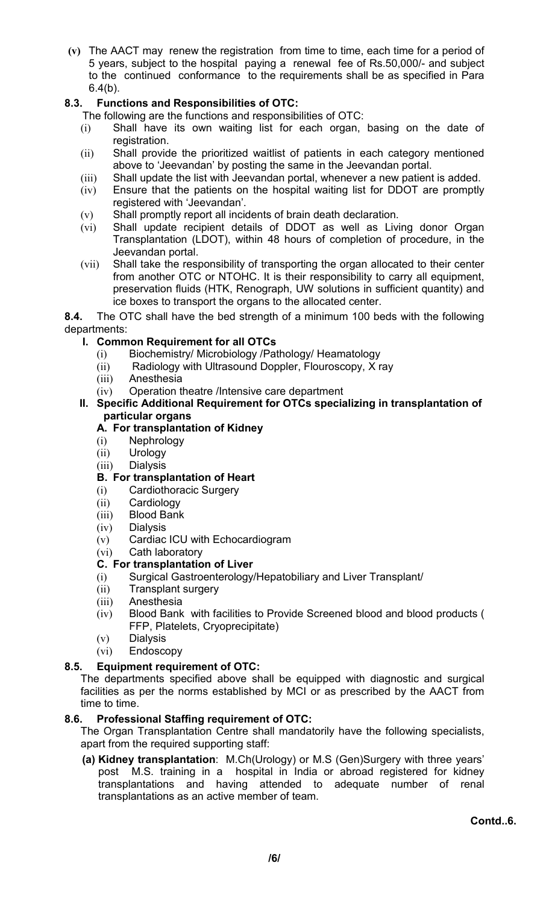**(v)** The AACT may renew the registration from time to time, each time for a period of 5 years, subject to the hospital paying a renewal fee of Rs.50,000/- and subject to the continued conformance to the requirements shall be as specified in Para  $6.4(b)$ .

# **8.3. Functions and Responsibilities of OTC:**

The following are the functions and responsibilities of OTC:

- (i) Shall have its own waiting list for each organ, basing on the date of registration.
- (ii) Shall provide the prioritized waitlist of patients in each category mentioned above to 'Jeevandan' by posting the same in the Jeevandan portal.
- (iii) Shall update the list with Jeevandan portal, whenever a new patient is added.
- (iv) Ensure that the patients on the hospital waiting list for DDOT are promptly registered with 'Jeevandan'.
- (v) Shall promptly report all incidents of brain death declaration.
- (vi) Shall update recipient details of DDOT as well as Living donor Organ Transplantation (LDOT), within 48 hours of completion of procedure, in the Jeevandan portal.
- (vii) Shall take the responsibility of transporting the organ allocated to their center from another OTC or NTOHC. It is their responsibility to carry all equipment, preservation fluids (HTK, Renograph, UW solutions in sufficient quantity) and ice boxes to transport the organs to the allocated center.

**8.4.** The OTC shall have the bed strength of a minimum 100 beds with the following departments:

## **I. Common Requirement for all OTCs**

- (i) Biochemistry/ Microbiology /Pathology/ Heamatology
- (ii) Radiology with Ultrasound Doppler, Flouroscopy, X ray
- (iii) Anesthesia
- (iv) Operation theatre /Intensive care department

#### **II. Specific Additional Requirement for OTCs specializing in transplantation of particular organs**

## **A. For transplantation of Kidney**

- (i) Nephrology
- (ii) Urology
- (iii) Dialysis

## **B. For transplantation of Heart**

- (i) Cardiothoracic Surgery
- (ii) Cardiology
- (iii) Blood Bank
- (iv) Dialysis
- (v) Cardiac ICU with Echocardiogram
- (vi) Cath laboratory

## **C. For transplantation of Liver**

- (i) Surgical Gastroenterology/Hepatobiliary and Liver Transplant/
- (ii) Transplant surgery
- (iii) Anesthesia
- (iv) Blood Bank with facilities to Provide Screened blood and blood products ( FFP, Platelets, Cryoprecipitate)
- (v) Dialysis
- (vi) Endoscopy

## **8.5. Equipment requirement of OTC:**

The departments specified above shall be equipped with diagnostic and surgical facilities as per the norms established by MCI or as prescribed by the AACT from time to time.

## **8.6. Professional Staffing requirement of OTC:**

The Organ Transplantation Centre shall mandatorily have the following specialists, apart from the required supporting staff:

**(a) Kidney transplantation**: M.Ch(Urology) or M.S (Gen)Surgery with three years' post M.S. training in a hospital in India or abroad registered for kidney transplantations and having attended to adequate number of renal transplantations as an active member of team.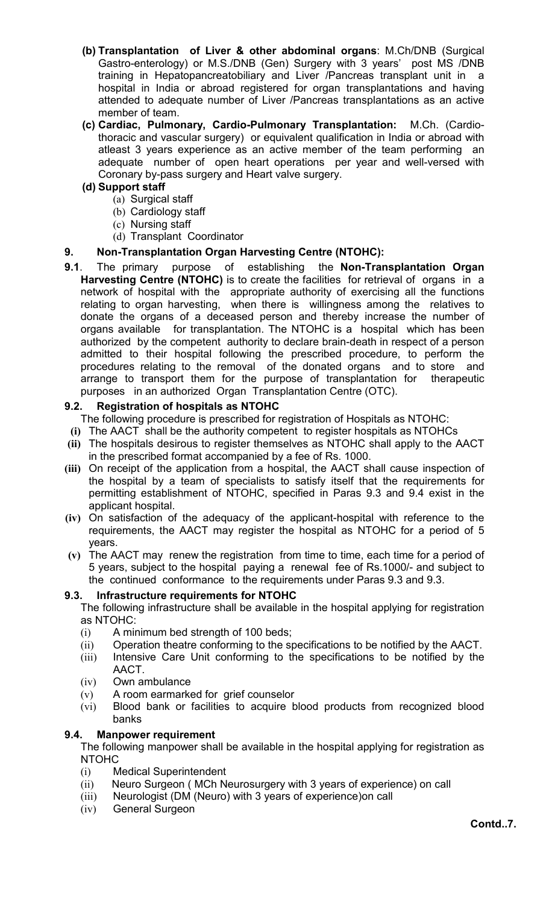- **(b) Transplantation of Liver & other abdominal organs**: M.Ch/DNB (Surgical Gastro-enterology) or M.S./DNB (Gen) Surgery with 3 years' post MS /DNB training in Hepatopancreatobiliary and Liver /Pancreas transplant unit in a hospital in India or abroad registered for organ transplantations and having attended to adequate number of Liver /Pancreas transplantations as an active member of team.
- **(c) Cardiac, Pulmonary, Cardio-Pulmonary Transplantation:** M.Ch. (Cardiothoracic and vascular surgery) or equivalent qualification in India or abroad with atleast 3 years experience as an active member of the team performing an adequate number of open heart operations per year and well-versed with Coronary by-pass surgery and Heart valve surgery.

# **(d) Support staff**

- (a) Surgical staff
- (b) Cardiology staff
- (c) Nursing staff
- (d) Transplant Coordinator

# **9. Non-Transplantation Organ Harvesting Centre (NTOHC):**

**9.1**. The primary purpose of establishing the **Non-Transplantation Organ Harvesting Centre (NTOHC)** is to create the facilities for retrieval of organs in a network of hospital with the appropriate authority of exercising all the functions relating to organ harvesting, when there is willingness among the relatives to donate the organs of a deceased person and thereby increase the number of organs available for transplantation. The NTOHC is a hospital which has been authorized by the competent authority to declare brain-death in respect of a person admitted to their hospital following the prescribed procedure, to perform the procedures relating to the removal of the donated organs and to store and arrange to transport them for the purpose of transplantation for therapeutic purposes in an authorized Organ Transplantation Centre (OTC).

## **9.2. Registration of hospitals as NTOHC**

The following procedure is prescribed for registration of Hospitals as NTOHC:

- **(i)** The AACT shall be the authority competent to register hospitals as NTOHCs
- **(ii)** The hospitals desirous to register themselves as NTOHC shall apply to the AACT in the prescribed format accompanied by a fee of Rs. 1000.
- **(iii)** On receipt of the application from a hospital, the AACT shall cause inspection of the hospital by a team of specialists to satisfy itself that the requirements for permitting establishment of NTOHC, specified in Paras 9.3 and 9.4 exist in the applicant hospital.
- **(iv)** On satisfaction of the adequacy of the applicant-hospital with reference to the requirements, the AACT may register the hospital as NTOHC for a period of 5 years.
- **(v)** The AACT may renew the registration from time to time, each time for a period of 5 years, subject to the hospital paying a renewal fee of Rs.1000/- and subject to the continued conformance to the requirements under Paras 9.3 and 9.3.

## **9.3. Infrastructure requirements for NTOHC**

The following infrastructure shall be available in the hospital applying for registration as NTOHC:

- (i) A minimum bed strength of 100 beds;
- (ii) Operation theatre conforming to the specifications to be notified by the AACT.
- (iii) Intensive Care Unit conforming to the specifications to be notified by the AACT.
- (iv) Own ambulance
- (v) A room earmarked for grief counselor
- (vi) Blood bank or facilities to acquire blood products from recognized blood banks

## **9.4. Manpower requirement**

The following manpower shall be available in the hospital applying for registration as NTOHC

- (i) Medical Superintendent
- (ii) Neuro Surgeon ( MCh Neurosurgery with 3 years of experience) on call
- (iii) Neurologist (DM (Neuro) with 3 years of experience)on call
- (iv) General Surgeon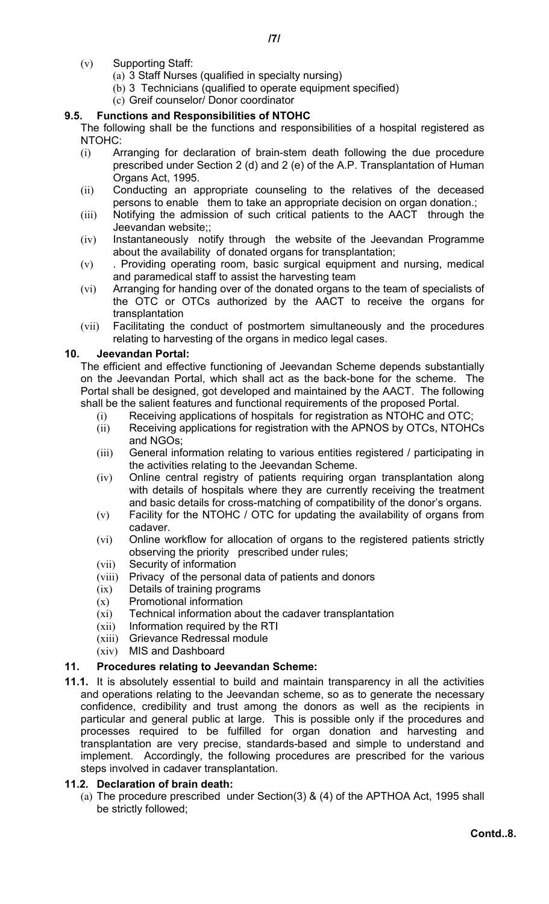- (v) Supporting Staff:
	- (a) 3 Staff Nurses (qualified in specialty nursing)
	- (b) 3 Technicians (qualified to operate equipment specified)
	- (c) Greif counselor/ Donor coordinator

# **9.5. Functions and Responsibilities of NTOHC**

The following shall be the functions and responsibilities of a hospital registered as NTOHC:

- (i) Arranging for declaration of brain-stem death following the due procedure prescribed under Section 2 (d) and 2 (e) of the A.P. Transplantation of Human Organs Act, 1995.
- (ii) Conducting an appropriate counseling to the relatives of the deceased persons to enable them to take an appropriate decision on organ donation.;
- (iii) Notifying the admission of such critical patients to the AACT through the Jeevandan website;;
- (iv) Instantaneously notify through the website of the Jeevandan Programme about the availability of donated organs for transplantation;
- (v) . Providing operating room, basic surgical equipment and nursing, medical and paramedical staff to assist the harvesting team
- (vi) Arranging for handing over of the donated organs to the team of specialists of the OTC or OTCs authorized by the AACT to receive the organs for transplantation
- (vii) Facilitating the conduct of postmortem simultaneously and the procedures relating to harvesting of the organs in medico legal cases.

## **10. Jeevandan Portal:**

The efficient and effective functioning of Jeevandan Scheme depends substantially on the Jeevandan Portal, which shall act as the back-bone for the scheme. The Portal shall be designed, got developed and maintained by the AACT. The following shall be the salient features and functional requirements of the proposed Portal.

- (i) Receiving applications of hospitals for registration as NTOHC and OTC;
- (ii) Receiving applications for registration with the APNOS by OTCs, NTOHCs and NGOs;
- (iii) General information relating to various entities registered / participating in the activities relating to the Jeevandan Scheme.
- (iv) Online central registry of patients requiring organ transplantation along with details of hospitals where they are currently receiving the treatment and basic details for cross-matching of compatibility of the donor's organs.
- (v) Facility for the NTOHC / OTC for updating the availability of organs from cadaver.
- (vi) Online workflow for allocation of organs to the registered patients strictly observing the priority prescribed under rules;
- (vii) Security of information
- (viii) Privacy of the personal data of patients and donors
- (ix) Details of training programs
- (x) Promotional information
- (xi) Technical information about the cadaver transplantation
- (xii) Information required by the RTI
- (xiii) Grievance Redressal module
- (xiv) MIS and Dashboard

## **11. Procedures relating to Jeevandan Scheme:**

**11.1.** It is absolutely essential to build and maintain transparency in all the activities and operations relating to the Jeevandan scheme, so as to generate the necessary confidence, credibility and trust among the donors as well as the recipients in particular and general public at large. This is possible only if the procedures and processes required to be fulfilled for organ donation and harvesting and transplantation are very precise, standards-based and simple to understand and implement. Accordingly, the following procedures are prescribed for the various steps involved in cadaver transplantation.

## **11.2. Declaration of brain death:**

(a) The procedure prescribed under Section(3) & (4) of the APTHOA Act, 1995 shall be strictly followed;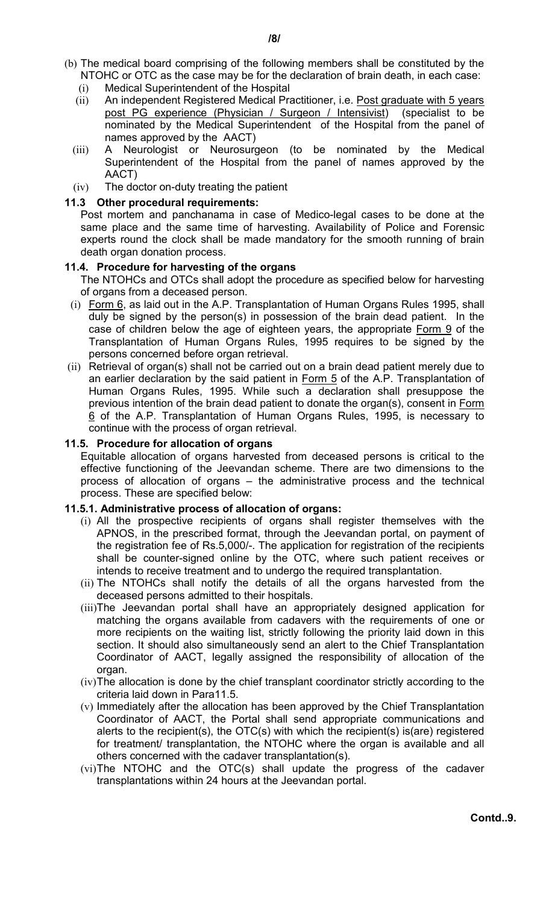- (b) The medical board comprising of the following members shall be constituted by the NTOHC or OTC as the case may be for the declaration of brain death, in each case:
	- (i) Medical Superintendent of the Hospital
	- (ii) An independent Registered Medical Practitioner, i.e. Post graduate with 5 years post PG experience (Physician / Surgeon / Intensivist) (specialist to be nominated by the Medical Superintendent of the Hospital from the panel of names approved by the AACT)
	- (iii) A Neurologist or Neurosurgeon (to be nominated by the Medical Superintendent of the Hospital from the panel of names approved by the AACT)
	- (iv) The doctor on-duty treating the patient

#### **11.3 Other procedural requirements:**

Post mortem and panchanama in case of Medico-legal cases to be done at the same place and the same time of harvesting. Availability of Police and Forensic experts round the clock shall be made mandatory for the smooth running of brain death organ donation process.

## **11.4. Procedure for harvesting of the organs**

The NTOHCs and OTCs shall adopt the procedure as specified below for harvesting of organs from a deceased person.

- (i) Form 6, as laid out in the A.P. Transplantation of Human Organs Rules 1995, shall duly be signed by the person(s) in possession of the brain dead patient. In the case of children below the age of eighteen years, the appropriate Form 9 of the Transplantation of Human Organs Rules, 1995 requires to be signed by the persons concerned before organ retrieval.
- (ii) Retrieval of organ(s) shall not be carried out on a brain dead patient merely due to an earlier declaration by the said patient in **Form 5** of the A.P. Transplantation of Human Organs Rules, 1995. While such a declaration shall presuppose the previous intention of the brain dead patient to donate the organ(s), consent in Form 6 of the A.P. Transplantation of Human Organs Rules, 1995, is necessary to continue with the process of organ retrieval.

#### **11.5. Procedure for allocation of organs**

Equitable allocation of organs harvested from deceased persons is critical to the effective functioning of the Jeevandan scheme. There are two dimensions to the process of allocation of organs – the administrative process and the technical process. These are specified below:

#### **11.5.1. Administrative process of allocation of organs:**

- (i) All the prospective recipients of organs shall register themselves with the APNOS, in the prescribed format, through the Jeevandan portal, on payment of the registration fee of Rs.5,000/-. The application for registration of the recipients shall be counter-signed online by the OTC, where such patient receives or intends to receive treatment and to undergo the required transplantation.
- (ii) The NTOHCs shall notify the details of all the organs harvested from the deceased persons admitted to their hospitals.
- (iii)The Jeevandan portal shall have an appropriately designed application for matching the organs available from cadavers with the requirements of one or more recipients on the waiting list, strictly following the priority laid down in this section. It should also simultaneously send an alert to the Chief Transplantation Coordinator of AACT, legally assigned the responsibility of allocation of the organ.
- (iv) The allocation is done by the chief transplant coordinator strictly according to the criteria laid down in Para11.5.
- (v) Immediately after the allocation has been approved by the Chief Transplantation Coordinator of AACT, the Portal shall send appropriate communications and alerts to the recipient(s), the OTC(s) with which the recipient(s) is(are) registered for treatment/ transplantation, the NTOHC where the organ is available and all others concerned with the cadaver transplantation(s).
- (vi) The NTOHC and the OTC(s) shall update the progress of the cadaver transplantations within 24 hours at the Jeevandan portal.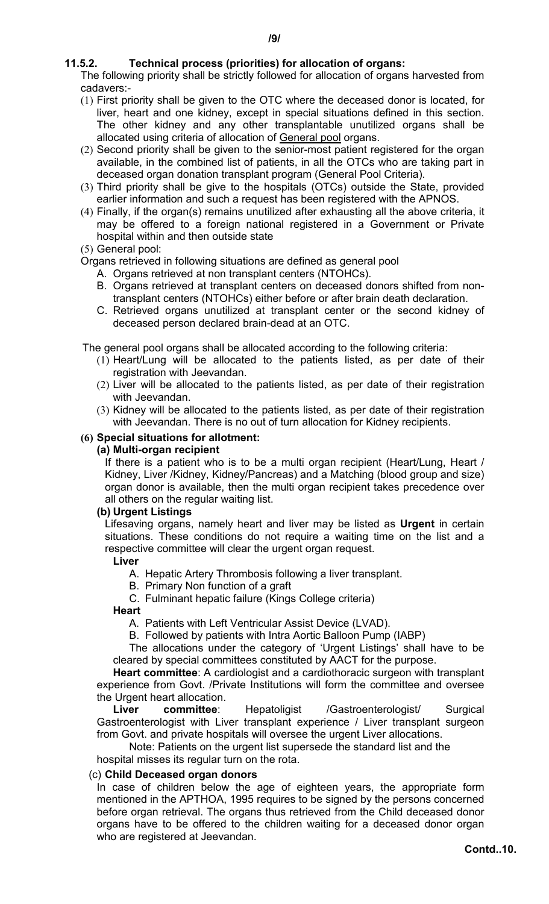## **11.5.2. Technical process (priorities) for allocation of organs:**

The following priority shall be strictly followed for allocation of organs harvested from cadavers:-

- (1) First priority shall be given to the OTC where the deceased donor is located, for liver, heart and one kidney, except in special situations defined in this section. The other kidney and any other transplantable unutilized organs shall be allocated using criteria of allocation of General pool organs.
- (2) Second priority shall be given to the senior-most patient registered for the organ available, in the combined list of patients, in all the OTCs who are taking part in deceased organ donation transplant program (General Pool Criteria).
- (3) Third priority shall be give to the hospitals (OTCs) outside the State, provided earlier information and such a request has been registered with the APNOS.
- (4) Finally, if the organ(s) remains unutilized after exhausting all the above criteria, it may be offered to a foreign national registered in a Government or Private hospital within and then outside state
- (5) General pool:

Organs retrieved in following situations are defined as general pool

- A. Organs retrieved at non transplant centers (NTOHCs).
- B. Organs retrieved at transplant centers on deceased donors shifted from nontransplant centers (NTOHCs) either before or after brain death declaration.
- C. Retrieved organs unutilized at transplant center or the second kidney of deceased person declared brain-dead at an OTC.

The general pool organs shall be allocated according to the following criteria:

- (1) Heart/Lung will be allocated to the patients listed, as per date of their registration with Jeevandan.
- (2) Liver will be allocated to the patients listed, as per date of their registration with Jeevandan.
- (3) Kidney will be allocated to the patients listed, as per date of their registration with Jeevandan. There is no out of turn allocation for Kidney recipients.

# **(6) Special situations for allotment:**

#### **(a) Multi-organ recipient**

If there is a patient who is to be a multi organ recipient (Heart/Lung, Heart / Kidney, Liver /Kidney, Kidney/Pancreas) and a Matching (blood group and size) organ donor is available, then the multi organ recipient takes precedence over all others on the regular waiting list.

#### **(b) Urgent Listings**

Lifesaving organs, namely heart and liver may be listed as **Urgent** in certain situations. These conditions do not require a waiting time on the list and a respective committee will clear the urgent organ request.

#### **Liver**

- A. Hepatic Artery Thrombosis following a liver transplant.
- B. Primary Non function of a graft

C. Fulminant hepatic failure (Kings College criteria)

#### **Heart**

A. Patients with Left Ventricular Assist Device (LVAD).

B. Followed by patients with Intra Aortic Balloon Pump (IABP)

The allocations under the category of 'Urgent Listings' shall have to be cleared by special committees constituted by AACT for the purpose.

**Heart committee**: A cardiologist and a cardiothoracic surgeon with transplant experience from Govt. /Private Institutions will form the committee and oversee the Urgent heart allocation.

**Liver committee**: Hepatoligist /Gastroenterologist/ Surgical Gastroenterologist with Liver transplant experience / Liver transplant surgeon from Govt. and private hospitals will oversee the urgent Liver allocations.

Note: Patients on the urgent list supersede the standard list and the

hospital misses its regular turn on the rota.

#### (c) **Child Deceased organ donors**

In case of children below the age of eighteen years, the appropriate form mentioned in the APTHOA, 1995 requires to be signed by the persons concerned before organ retrieval. The organs thus retrieved from the Child deceased donor organs have to be offered to the children waiting for a deceased donor organ who are registered at Jeevandan.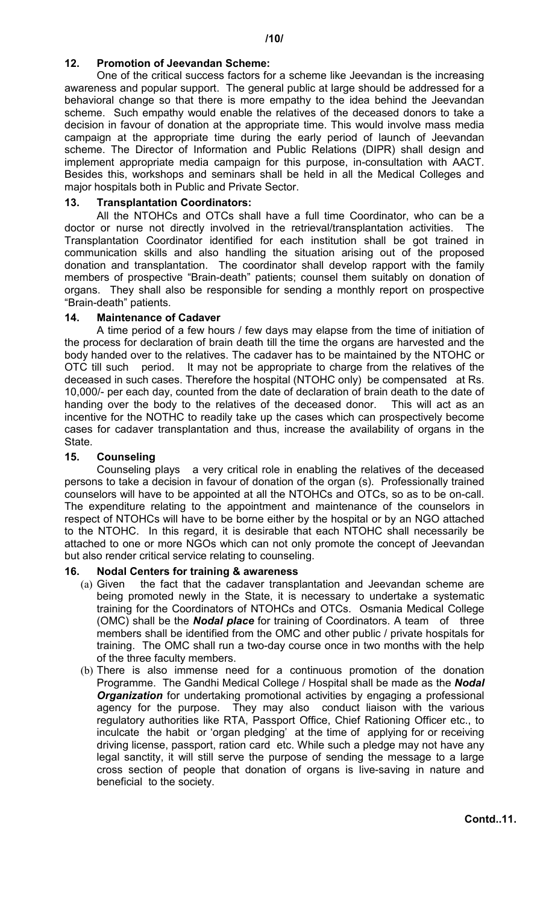## **12. Promotion of Jeevandan Scheme:**

One of the critical success factors for a scheme like Jeevandan is the increasing awareness and popular support. The general public at large should be addressed for a behavioral change so that there is more empathy to the idea behind the Jeevandan scheme. Such empathy would enable the relatives of the deceased donors to take a decision in favour of donation at the appropriate time. This would involve mass media campaign at the appropriate time during the early period of launch of Jeevandan scheme. The Director of Information and Public Relations (DIPR) shall design and implement appropriate media campaign for this purpose, in-consultation with AACT. Besides this, workshops and seminars shall be held in all the Medical Colleges and major hospitals both in Public and Private Sector.

#### **13. Transplantation Coordinators:**

All the NTOHCs and OTCs shall have a full time Coordinator, who can be a doctor or nurse not directly involved in the retrieval/transplantation activities. The Transplantation Coordinator identified for each institution shall be got trained in communication skills and also handling the situation arising out of the proposed donation and transplantation. The coordinator shall develop rapport with the family members of prospective "Brain-death" patients; counsel them suitably on donation of organs. They shall also be responsible for sending a monthly report on prospective "Brain-death" patients.

## **14. Maintenance of Cadaver**

A time period of a few hours / few days may elapse from the time of initiation of the process for declaration of brain death till the time the organs are harvested and the body handed over to the relatives. The cadaver has to be maintained by the NTOHC or OTC till such period. It may not be appropriate to charge from the relatives of the deceased in such cases. Therefore the hospital (NTOHC only) be compensated at Rs. 10,000/- per each day, counted from the date of declaration of brain death to the date of handing over the body to the relatives of the deceased donor. This will act as an incentive for the NOTHC to readily take up the cases which can prospectively become cases for cadaver transplantation and thus, increase the availability of organs in the State.

#### **15. Counseling**

Counseling plays a very critical role in enabling the relatives of the deceased persons to take a decision in favour of donation of the organ (s). Professionally trained counselors will have to be appointed at all the NTOHCs and OTCs, so as to be on-call. The expenditure relating to the appointment and maintenance of the counselors in respect of NTOHCs will have to be borne either by the hospital or by an NGO attached to the NTOHC. In this regard, it is desirable that each NTOHC shall necessarily be attached to one or more NGOs which can not only promote the concept of Jeevandan but also render critical service relating to counseling.

#### **16. Nodal Centers for training & awareness**

- (a) Given the fact that the cadaver transplantation and Jeevandan scheme are being promoted newly in the State, it is necessary to undertake a systematic training for the Coordinators of NTOHCs and OTCs. Osmania Medical College (OMC) shall be the *Nodal place* for training of Coordinators. A team of three members shall be identified from the OMC and other public / private hospitals for training. The OMC shall run a two-day course once in two months with the help of the three faculty members.
- (b) There is also immense need for a continuous promotion of the donation Programme. The Gandhi Medical College / Hospital shall be made as the *Nodal Organization* for undertaking promotional activities by engaging a professional agency for the purpose. They may also conduct liaison with the various regulatory authorities like RTA, Passport Office, Chief Rationing Officer etc., to inculcate the habit or 'organ pledging' at the time of applying for or receiving driving license, passport, ration card etc. While such a pledge may not have any legal sanctity, it will still serve the purpose of sending the message to a large cross section of people that donation of organs is live-saving in nature and beneficial to the society.